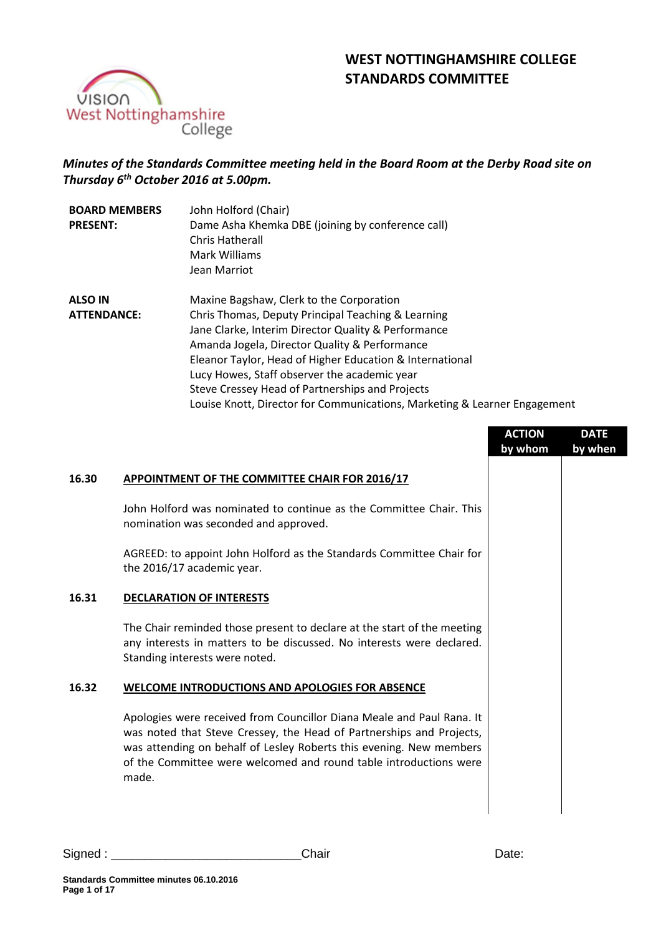# **WEST NOTTINGHAMSHIRE COLLEGE STANDARDS COMMITTEE**



# *Minutes of the Standards Committee meeting held in the Board Room at the Derby Road site on Thursday 6 th October 2016 at 5.00pm.*

| John Holford (Chair)<br><b>BOARD MEMBERS</b> |                                                                           |  |
|----------------------------------------------|---------------------------------------------------------------------------|--|
| <b>PRESENT:</b>                              | Dame Asha Khemka DBE (joining by conference call)                         |  |
|                                              | Chris Hatherall                                                           |  |
|                                              | Mark Williams                                                             |  |
|                                              | Jean Marriot                                                              |  |
| <b>ALSO IN</b>                               | Maxine Bagshaw, Clerk to the Corporation                                  |  |
| <b>ATTENDANCE:</b>                           | Chris Thomas, Deputy Principal Teaching & Learning                        |  |
|                                              | Jane Clarke, Interim Director Quality & Performance                       |  |
|                                              | Amanda Jogela, Director Quality & Performance                             |  |
|                                              | Eleanor Taylor, Head of Higher Education & International                  |  |
|                                              | Lucy Howes, Staff observer the academic year                              |  |
|                                              | Steve Cressey Head of Partnerships and Projects                           |  |
|                                              | Louise Knott, Director for Communications, Marketing & Learner Engagement |  |

|       |                                                                                                                                                                                                                                                                                                    | <b>ACTION</b><br>by whom | <b>DATE</b><br>by when |
|-------|----------------------------------------------------------------------------------------------------------------------------------------------------------------------------------------------------------------------------------------------------------------------------------------------------|--------------------------|------------------------|
| 16.30 | APPOINTMENT OF THE COMMITTEE CHAIR FOR 2016/17                                                                                                                                                                                                                                                     |                          |                        |
|       | John Holford was nominated to continue as the Committee Chair. This<br>nomination was seconded and approved.                                                                                                                                                                                       |                          |                        |
|       | AGREED: to appoint John Holford as the Standards Committee Chair for<br>the 2016/17 academic year.                                                                                                                                                                                                 |                          |                        |
| 16.31 | <b>DECLARATION OF INTERESTS</b>                                                                                                                                                                                                                                                                    |                          |                        |
|       | The Chair reminded those present to declare at the start of the meeting<br>any interests in matters to be discussed. No interests were declared.<br>Standing interests were noted.                                                                                                                 |                          |                        |
| 16.32 | <b>WELCOME INTRODUCTIONS AND APOLOGIES FOR ABSENCE</b>                                                                                                                                                                                                                                             |                          |                        |
|       | Apologies were received from Councillor Diana Meale and Paul Rana. It<br>was noted that Steve Cressey, the Head of Partnerships and Projects,<br>was attending on behalf of Lesley Roberts this evening. New members<br>of the Committee were welcomed and round table introductions were<br>made. |                          |                        |
|       |                                                                                                                                                                                                                                                                                                    |                          |                        |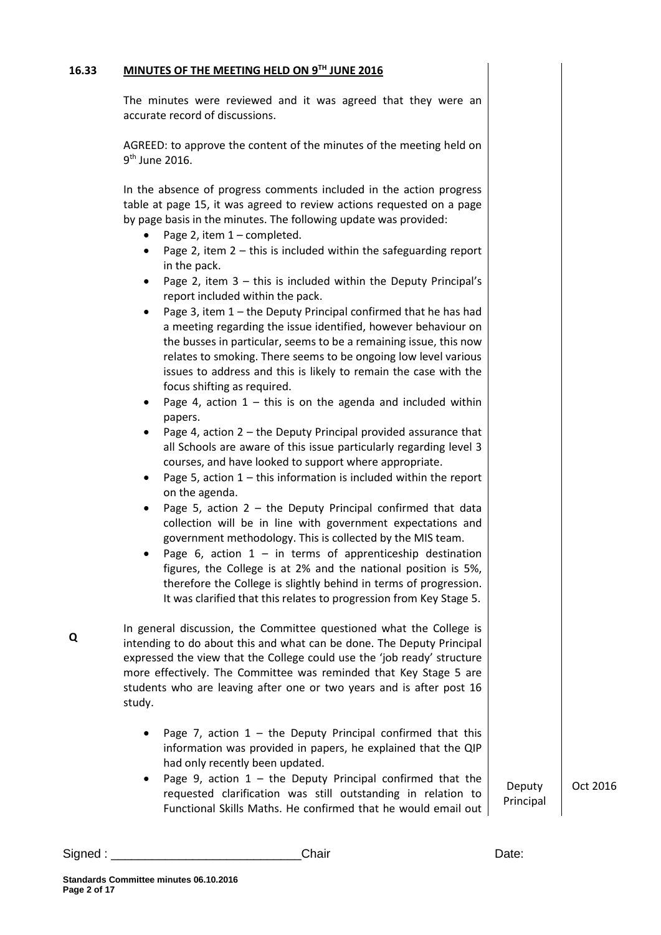#### **16.33 MINUTES OF THE MEETING HELD ON 9TH JUNE 2016**

The minutes were reviewed and it was agreed that they were an accurate record of discussions.

AGREED: to approve the content of the minutes of the meeting held on 9<sup>th</sup> June 2016.

In the absence of progress comments included in the action progress table at page 15, it was agreed to review actions requested on a page by page basis in the minutes. The following update was provided:

- Page 2, item 1 completed.
- Page 2, item  $2 -$  this is included within the safeguarding report in the pack.
- Page 2, item 3 this is included within the Deputy Principal's report included within the pack.
- Page 3, item 1 the Deputy Principal confirmed that he has had a meeting regarding the issue identified, however behaviour on the busses in particular, seems to be a remaining issue, this now relates to smoking. There seems to be ongoing low level various issues to address and this is likely to remain the case with the focus shifting as required.
- Page 4, action  $1 -$  this is on the agenda and included within papers.
- Page 4, action  $2 -$  the Deputy Principal provided assurance that all Schools are aware of this issue particularly regarding level 3 courses, and have looked to support where appropriate.
- Page 5, action  $1 -$  this information is included within the report on the agenda.
- Page 5, action  $2 -$  the Deputy Principal confirmed that data collection will be in line with government expectations and government methodology. This is collected by the MIS team.
- Page 6, action  $1 in$  terms of apprenticeship destination figures, the College is at 2% and the national position is 5%, therefore the College is slightly behind in terms of progression. It was clarified that this relates to progression from Key Stage 5.

In general discussion, the Committee questioned what the College is intending to do about this and what can be done. The Deputy Principal expressed the view that the College could use the 'job ready' structure more effectively. The Committee was reminded that Key Stage 5 are students who are leaving after one or two years and is after post 16 study.

- Page 7, action  $1 -$  the Deputy Principal confirmed that this information was provided in papers, he explained that the QIP had only recently been updated.
- Page 9, action  $1 -$  the Deputy Principal confirmed that the requested clarification was still outstanding in relation to Functional Skills Maths. He confirmed that he would email out Principal

Deputy Oct 2016

Signed : \_\_\_\_\_\_\_\_\_\_\_\_\_\_\_\_\_\_\_\_\_\_\_\_\_\_\_\_Chair Date:

**Q**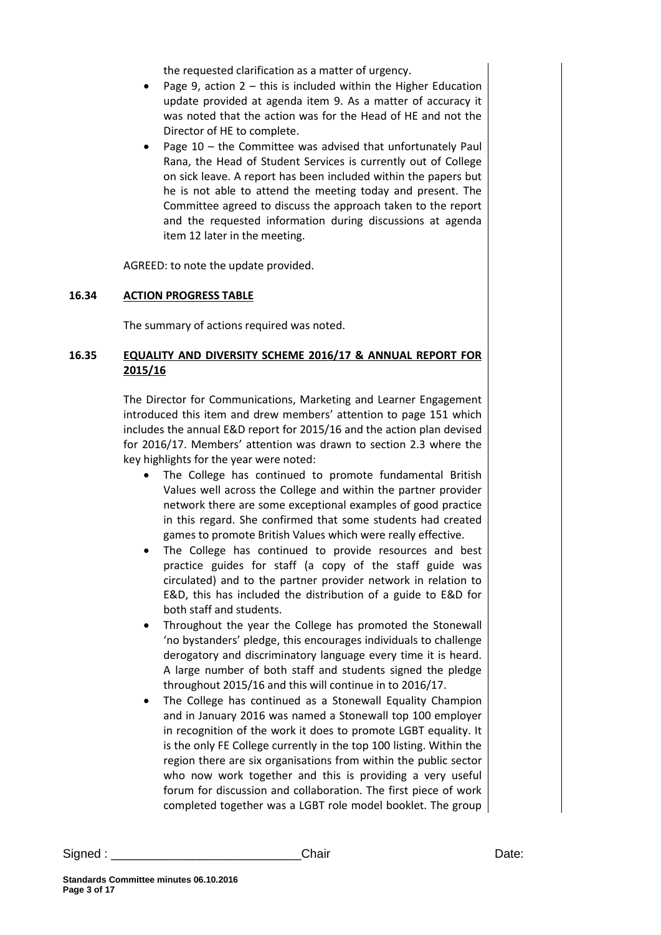the requested clarification as a matter of urgency.

- Page 9, action  $2 -$  this is included within the Higher Education update provided at agenda item 9. As a matter of accuracy it was noted that the action was for the Head of HE and not the Director of HE to complete.
- Page 10 the Committee was advised that unfortunately Paul Rana, the Head of Student Services is currently out of College on sick leave. A report has been included within the papers but he is not able to attend the meeting today and present. The Committee agreed to discuss the approach taken to the report and the requested information during discussions at agenda item 12 later in the meeting.

AGREED: to note the update provided.

### **16.34 ACTION PROGRESS TABLE**

The summary of actions required was noted.

# **16.35 EQUALITY AND DIVERSITY SCHEME 2016/17 & ANNUAL REPORT FOR 2015/16**

The Director for Communications, Marketing and Learner Engagement introduced this item and drew members' attention to page 151 which includes the annual E&D report for 2015/16 and the action plan devised for 2016/17. Members' attention was drawn to section 2.3 where the key highlights for the year were noted:

- The College has continued to promote fundamental British Values well across the College and within the partner provider network there are some exceptional examples of good practice in this regard. She confirmed that some students had created games to promote British Values which were really effective.
- The College has continued to provide resources and best practice guides for staff (a copy of the staff guide was circulated) and to the partner provider network in relation to E&D, this has included the distribution of a guide to E&D for both staff and students.
- Throughout the year the College has promoted the Stonewall 'no bystanders' pledge, this encourages individuals to challenge derogatory and discriminatory language every time it is heard. A large number of both staff and students signed the pledge throughout 2015/16 and this will continue in to 2016/17.
- The College has continued as a Stonewall Equality Champion and in January 2016 was named a Stonewall top 100 employer in recognition of the work it does to promote LGBT equality. It is the only FE College currently in the top 100 listing. Within the region there are six organisations from within the public sector who now work together and this is providing a very useful forum for discussion and collaboration. The first piece of work completed together was a LGBT role model booklet. The group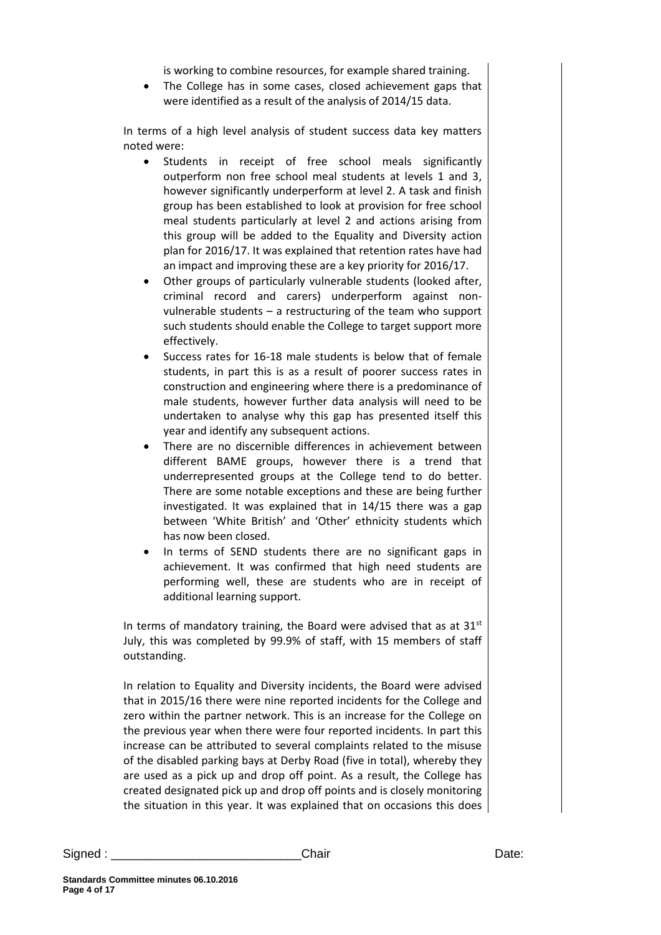is working to combine resources, for example shared training.

• The College has in some cases, closed achievement gaps that were identified as a result of the analysis of 2014/15 data.

In terms of a high level analysis of student success data key matters noted were:

- Students in receipt of free school meals significantly outperform non free school meal students at levels 1 and 3, however significantly underperform at level 2. A task and finish group has been established to look at provision for free school meal students particularly at level 2 and actions arising from this group will be added to the Equality and Diversity action plan for 2016/17. It was explained that retention rates have had an impact and improving these are a key priority for 2016/17.
- Other groups of particularly vulnerable students (looked after, criminal record and carers) underperform against nonvulnerable students – a restructuring of the team who support such students should enable the College to target support more effectively.
- Success rates for 16-18 male students is below that of female students, in part this is as a result of poorer success rates in construction and engineering where there is a predominance of male students, however further data analysis will need to be undertaken to analyse why this gap has presented itself this year and identify any subsequent actions.
- There are no discernible differences in achievement between different BAME groups, however there is a trend that underrepresented groups at the College tend to do better. There are some notable exceptions and these are being further investigated. It was explained that in 14/15 there was a gap between 'White British' and 'Other' ethnicity students which has now been closed.
- In terms of SEND students there are no significant gaps in achievement. It was confirmed that high need students are performing well, these are students who are in receipt of additional learning support.

In terms of mandatory training, the Board were advised that as at  $31<sup>st</sup>$ July, this was completed by 99.9% of staff, with 15 members of staff outstanding.

In relation to Equality and Diversity incidents, the Board were advised that in 2015/16 there were nine reported incidents for the College and zero within the partner network. This is an increase for the College on the previous year when there were four reported incidents. In part this increase can be attributed to several complaints related to the misuse of the disabled parking bays at Derby Road (five in total), whereby they are used as a pick up and drop off point. As a result, the College has created designated pick up and drop off points and is closely monitoring the situation in this year. It was explained that on occasions this does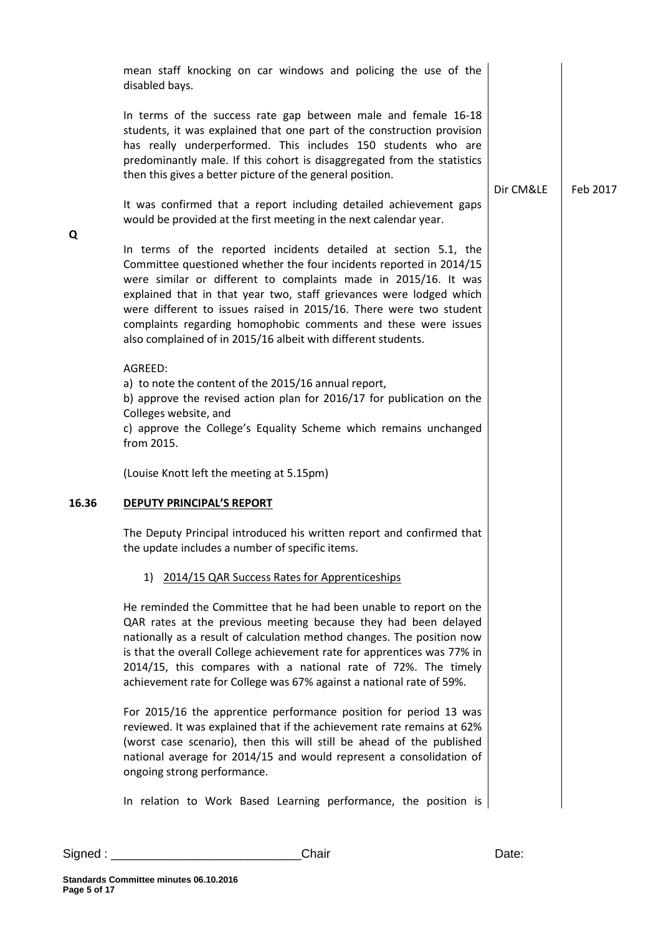|       | mean staff knocking on car windows and policing the use of the<br>disabled bays.                                                                                                                                                                                                                                                                                                                                                                                                          |           |          |
|-------|-------------------------------------------------------------------------------------------------------------------------------------------------------------------------------------------------------------------------------------------------------------------------------------------------------------------------------------------------------------------------------------------------------------------------------------------------------------------------------------------|-----------|----------|
|       | In terms of the success rate gap between male and female 16-18<br>students, it was explained that one part of the construction provision<br>has really underperformed. This includes 150 students who are<br>predominantly male. If this cohort is disaggregated from the statistics<br>then this gives a better picture of the general position.                                                                                                                                         | Dir CM&LE | Feb 2017 |
|       | It was confirmed that a report including detailed achievement gaps<br>would be provided at the first meeting in the next calendar year.                                                                                                                                                                                                                                                                                                                                                   |           |          |
| Q     | In terms of the reported incidents detailed at section 5.1, the<br>Committee questioned whether the four incidents reported in 2014/15<br>were similar or different to complaints made in 2015/16. It was<br>explained that in that year two, staff grievances were lodged which<br>were different to issues raised in 2015/16. There were two student<br>complaints regarding homophobic comments and these were issues<br>also complained of in 2015/16 albeit with different students. |           |          |
|       | AGREED:<br>a) to note the content of the 2015/16 annual report,<br>b) approve the revised action plan for 2016/17 for publication on the<br>Colleges website, and<br>c) approve the College's Equality Scheme which remains unchanged<br>from 2015.                                                                                                                                                                                                                                       |           |          |
|       | (Louise Knott left the meeting at 5.15pm)                                                                                                                                                                                                                                                                                                                                                                                                                                                 |           |          |
| 16.36 | <b>DEPUTY PRINCIPAL'S REPORT</b>                                                                                                                                                                                                                                                                                                                                                                                                                                                          |           |          |
|       | The Deputy Principal introduced his written report and confirmed that<br>the update includes a number of specific items.                                                                                                                                                                                                                                                                                                                                                                  |           |          |
|       | 1) 2014/15 QAR Success Rates for Apprenticeships                                                                                                                                                                                                                                                                                                                                                                                                                                          |           |          |
|       | He reminded the Committee that he had been unable to report on the<br>QAR rates at the previous meeting because they had been delayed<br>nationally as a result of calculation method changes. The position now<br>is that the overall College achievement rate for apprentices was 77% in<br>2014/15, this compares with a national rate of 72%. The timely<br>achievement rate for College was 67% against a national rate of 59%.                                                      |           |          |
|       | For 2015/16 the apprentice performance position for period 13 was<br>reviewed. It was explained that if the achievement rate remains at 62%<br>(worst case scenario), then this will still be ahead of the published<br>national average for 2014/15 and would represent a consolidation of<br>ongoing strong performance.                                                                                                                                                                |           |          |
|       | In relation to Work Based Learning performance, the position is                                                                                                                                                                                                                                                                                                                                                                                                                           |           |          |

Signed : \_\_\_\_\_\_\_\_\_\_\_\_\_\_\_\_\_\_\_\_\_\_\_\_\_\_\_\_Chair Date:

**Q**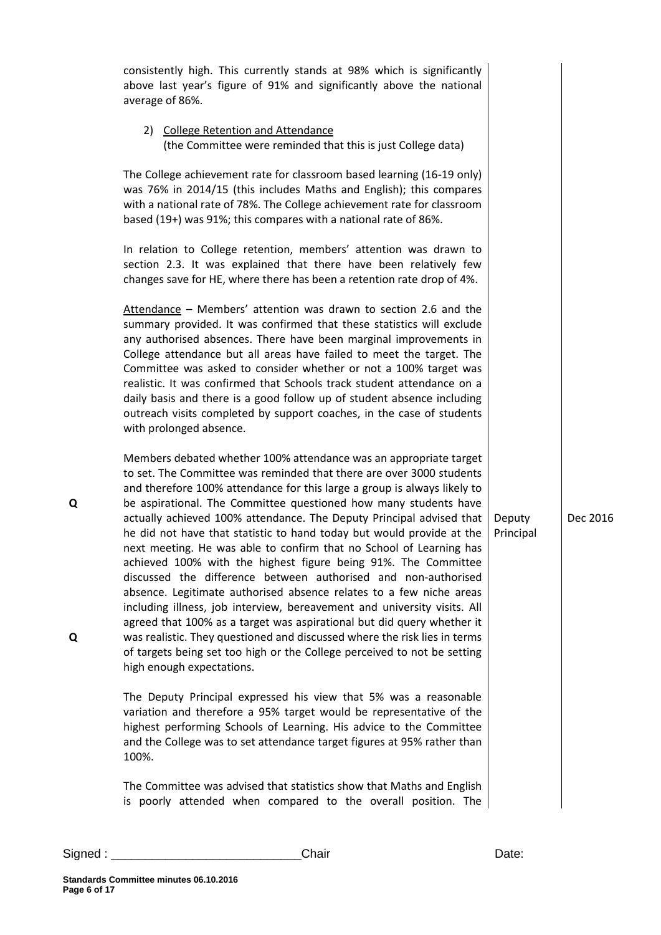| Signed: | Chair                                                                                                                                                                                                                                                                                                                                                                                                                                                                                                                                                                                                                                                                                                                                                                                                                                           | Date:               |
|---------|-------------------------------------------------------------------------------------------------------------------------------------------------------------------------------------------------------------------------------------------------------------------------------------------------------------------------------------------------------------------------------------------------------------------------------------------------------------------------------------------------------------------------------------------------------------------------------------------------------------------------------------------------------------------------------------------------------------------------------------------------------------------------------------------------------------------------------------------------|---------------------|
|         | The Committee was advised that statistics show that Maths and English<br>is poorly attended when compared to the overall position. The                                                                                                                                                                                                                                                                                                                                                                                                                                                                                                                                                                                                                                                                                                          |                     |
|         | The Deputy Principal expressed his view that 5% was a reasonable<br>variation and therefore a 95% target would be representative of the<br>highest performing Schools of Learning. His advice to the Committee<br>and the College was to set attendance target figures at 95% rather than<br>100%.                                                                                                                                                                                                                                                                                                                                                                                                                                                                                                                                              |                     |
| Q<br>Q  | be aspirational. The Committee questioned how many students have<br>actually achieved 100% attendance. The Deputy Principal advised that<br>he did not have that statistic to hand today but would provide at the<br>next meeting. He was able to confirm that no School of Learning has<br>achieved 100% with the highest figure being 91%. The Committee<br>discussed the difference between authorised and non-authorised<br>absence. Legitimate authorised absence relates to a few niche areas<br>including illness, job interview, bereavement and university visits. All<br>agreed that 100% as a target was aspirational but did query whether it<br>was realistic. They questioned and discussed where the risk lies in terms<br>of targets being set too high or the College perceived to not be setting<br>high enough expectations. | Deputy<br>Principal |
|         | Members debated whether 100% attendance was an appropriate target<br>to set. The Committee was reminded that there are over 3000 students<br>and therefore 100% attendance for this large a group is always likely to                                                                                                                                                                                                                                                                                                                                                                                                                                                                                                                                                                                                                           |                     |
|         | Attendance - Members' attention was drawn to section 2.6 and the<br>summary provided. It was confirmed that these statistics will exclude<br>any authorised absences. There have been marginal improvements in<br>College attendance but all areas have failed to meet the target. The<br>Committee was asked to consider whether or not a 100% target was<br>realistic. It was confirmed that Schools track student attendance on a<br>daily basis and there is a good follow up of student absence including<br>outreach visits completed by support coaches, in the case of students<br>with prolonged absence.                                                                                                                                                                                                                              |                     |
|         | In relation to College retention, members' attention was drawn to<br>section 2.3. It was explained that there have been relatively few<br>changes save for HE, where there has been a retention rate drop of 4%.                                                                                                                                                                                                                                                                                                                                                                                                                                                                                                                                                                                                                                |                     |
|         | The College achievement rate for classroom based learning (16-19 only)<br>was 76% in 2014/15 (this includes Maths and English); this compares<br>with a national rate of 78%. The College achievement rate for classroom<br>based (19+) was 91%; this compares with a national rate of 86%.                                                                                                                                                                                                                                                                                                                                                                                                                                                                                                                                                     |                     |
|         | (the Committee were reminded that this is just College data)                                                                                                                                                                                                                                                                                                                                                                                                                                                                                                                                                                                                                                                                                                                                                                                    |                     |

consistently high. This currently stands at 98% which is significantly above last year's figure of 91% and significantly above the national

2) College Retention and Attendance

average of 86%.

Dec 2016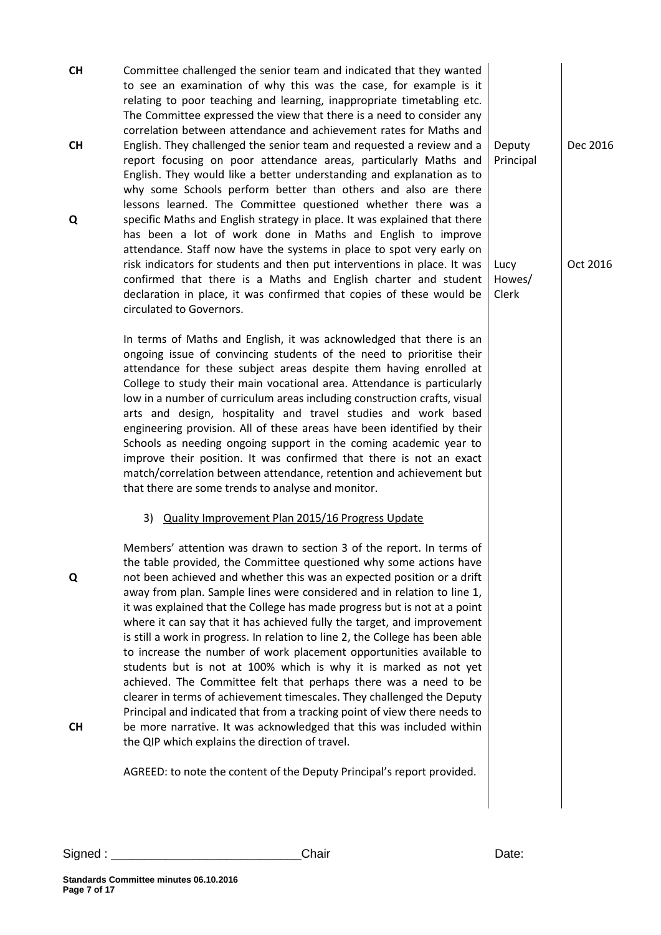**CH CH Q** Committee challenged the senior team and indicated that they wanted to see an examination of why this was the case, for example is it relating to poor teaching and learning, inappropriate timetabling etc. The Committee expressed the view that there is a need to consider any correlation between attendance and achievement rates for Maths and English. They challenged the senior team and requested a review and a report focusing on poor attendance areas, particularly Maths and English. They would like a better understanding and explanation as to why some Schools perform better than others and also are there lessons learned. The Committee questioned whether there was a specific Maths and English strategy in place. It was explained that there has been a lot of work done in Maths and English to improve attendance. Staff now have the systems in place to spot very early on risk indicators for students and then put interventions in place. It was confirmed that there is a Maths and English charter and student declaration in place, it was confirmed that copies of these would be circulated to Governors. Principal Lucy Howes/ Clerk

> In terms of Maths and English, it was acknowledged that there is an ongoing issue of convincing students of the need to prioritise their attendance for these subject areas despite them having enrolled at College to study their main vocational area. Attendance is particularly low in a number of curriculum areas including construction crafts, visual arts and design, hospitality and travel studies and work based engineering provision. All of these areas have been identified by their Schools as needing ongoing support in the coming academic year to improve their position. It was confirmed that there is not an exact match/correlation between attendance, retention and achievement but that there are some trends to analyse and monitor.

#### 3) Quality Improvement Plan 2015/16 Progress Update

Members' attention was drawn to section 3 of the report. In terms of the table provided, the Committee questioned why some actions have not been achieved and whether this was an expected position or a drift away from plan. Sample lines were considered and in relation to line 1, it was explained that the College has made progress but is not at a point where it can say that it has achieved fully the target, and improvement is still a work in progress. In relation to line 2, the College has been able to increase the number of work placement opportunities available to students but is not at 100% which is why it is marked as not yet achieved. The Committee felt that perhaps there was a need to be clearer in terms of achievement timescales. They challenged the Deputy Principal and indicated that from a tracking point of view there needs to be more narrative. It was acknowledged that this was included within the QIP which explains the direction of travel.

**CH**

**Q**

AGREED: to note the content of the Deputy Principal's report provided.

Signed : \_\_\_\_\_\_\_\_\_\_\_\_\_\_\_\_\_\_\_\_\_\_\_\_\_\_\_\_Chair Date:

Deputy Dec 2016

Oct 2016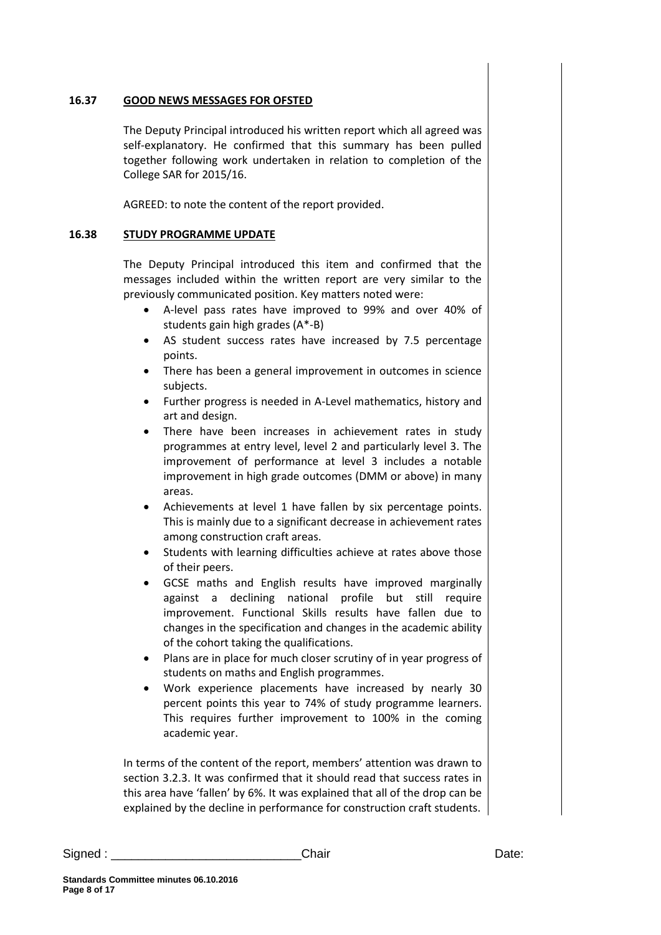### **16.37 GOOD NEWS MESSAGES FOR OFSTED**

The Deputy Principal introduced his written report which all agreed was self-explanatory. He confirmed that this summary has been pulled together following work undertaken in relation to completion of the College SAR for 2015/16.

AGREED: to note the content of the report provided.

#### **16.38 STUDY PROGRAMME UPDATE**

The Deputy Principal introduced this item and confirmed that the messages included within the written report are very similar to the previously communicated position. Key matters noted were:

- A-level pass rates have improved to 99% and over 40% of students gain high grades (A\*-B)
- AS student success rates have increased by 7.5 percentage points.
- There has been a general improvement in outcomes in science subjects.
- Further progress is needed in A-Level mathematics, history and art and design.
- There have been increases in achievement rates in study programmes at entry level, level 2 and particularly level 3. The improvement of performance at level 3 includes a notable improvement in high grade outcomes (DMM or above) in many areas.
- Achievements at level 1 have fallen by six percentage points. This is mainly due to a significant decrease in achievement rates among construction craft areas.
- Students with learning difficulties achieve at rates above those of their peers.
- GCSE maths and English results have improved marginally against a declining national profile but still require improvement. Functional Skills results have fallen due to changes in the specification and changes in the academic ability of the cohort taking the qualifications.
- Plans are in place for much closer scrutiny of in year progress of students on maths and English programmes.
- Work experience placements have increased by nearly 30 percent points this year to 74% of study programme learners. This requires further improvement to 100% in the coming academic year.

In terms of the content of the report, members' attention was drawn to section 3.2.3. It was confirmed that it should read that success rates in this area have 'fallen' by 6%. It was explained that all of the drop can be explained by the decline in performance for construction craft students.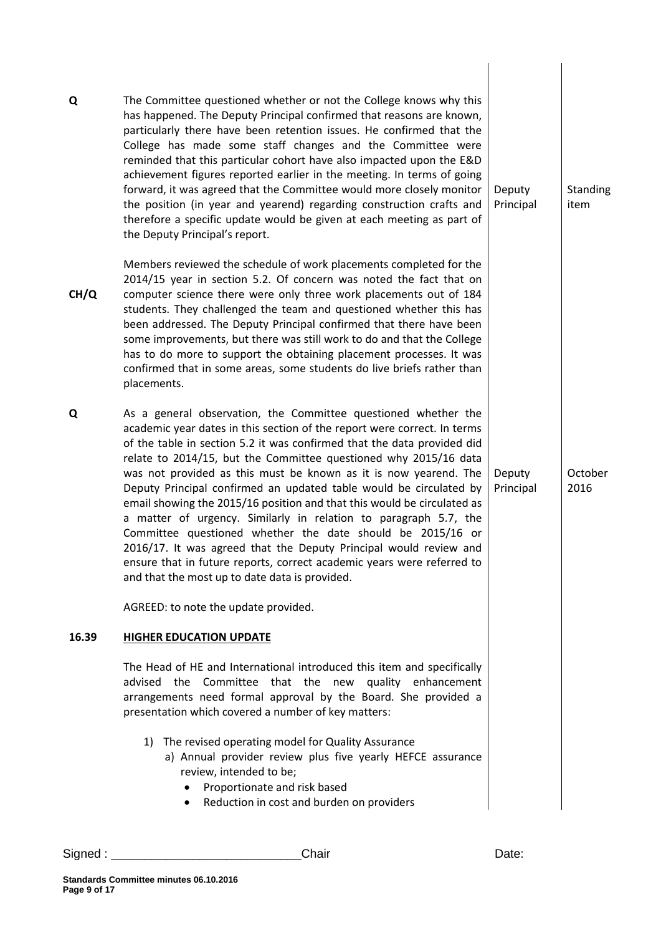| Q     | The Committee questioned whether or not the College knows why this<br>has happened. The Deputy Principal confirmed that reasons are known,<br>particularly there have been retention issues. He confirmed that the<br>College has made some staff changes and the Committee were<br>reminded that this particular cohort have also impacted upon the E&D<br>achievement figures reported earlier in the meeting. In terms of going<br>forward, it was agreed that the Committee would more closely monitor<br>the position (in year and yearend) regarding construction crafts and<br>therefore a specific update would be given at each meeting as part of<br>the Deputy Principal's report.                                                                                                                                                     | Deputy<br>Principal | Standing<br>item |
|-------|---------------------------------------------------------------------------------------------------------------------------------------------------------------------------------------------------------------------------------------------------------------------------------------------------------------------------------------------------------------------------------------------------------------------------------------------------------------------------------------------------------------------------------------------------------------------------------------------------------------------------------------------------------------------------------------------------------------------------------------------------------------------------------------------------------------------------------------------------|---------------------|------------------|
| CH/Q  | Members reviewed the schedule of work placements completed for the<br>2014/15 year in section 5.2. Of concern was noted the fact that on<br>computer science there were only three work placements out of 184<br>students. They challenged the team and questioned whether this has<br>been addressed. The Deputy Principal confirmed that there have been<br>some improvements, but there was still work to do and that the College<br>has to do more to support the obtaining placement processes. It was<br>confirmed that in some areas, some students do live briefs rather than<br>placements.                                                                                                                                                                                                                                              |                     |                  |
| Q     | As a general observation, the Committee questioned whether the<br>academic year dates in this section of the report were correct. In terms<br>of the table in section 5.2 it was confirmed that the data provided did<br>relate to 2014/15, but the Committee questioned why 2015/16 data<br>was not provided as this must be known as it is now yearend. The<br>Deputy Principal confirmed an updated table would be circulated by<br>email showing the 2015/16 position and that this would be circulated as<br>a matter of urgency. Similarly in relation to paragraph 5.7, the<br>Committee questioned whether the date should be 2015/16 or<br>2016/17. It was agreed that the Deputy Principal would review and<br>ensure that in future reports, correct academic years were referred to<br>and that the most up to date data is provided. | Deputy<br>Principal | October<br>2016  |
| 16.39 | AGREED: to note the update provided.<br><b>HIGHER EDUCATION UPDATE</b>                                                                                                                                                                                                                                                                                                                                                                                                                                                                                                                                                                                                                                                                                                                                                                            |                     |                  |
|       | The Head of HE and International introduced this item and specifically<br>advised<br>Committee<br>that the new<br>quality enhancement<br>the<br>arrangements need formal approval by the Board. She provided a<br>presentation which covered a number of key matters:<br>The revised operating model for Quality Assurance<br>1)<br>a) Annual provider review plus five yearly HEFCE assurance<br>review, intended to be;<br>Proportionate and risk based<br>٠<br>Reduction in cost and burden on providers                                                                                                                                                                                                                                                                                                                                       |                     |                  |
|       |                                                                                                                                                                                                                                                                                                                                                                                                                                                                                                                                                                                                                                                                                                                                                                                                                                                   |                     |                  |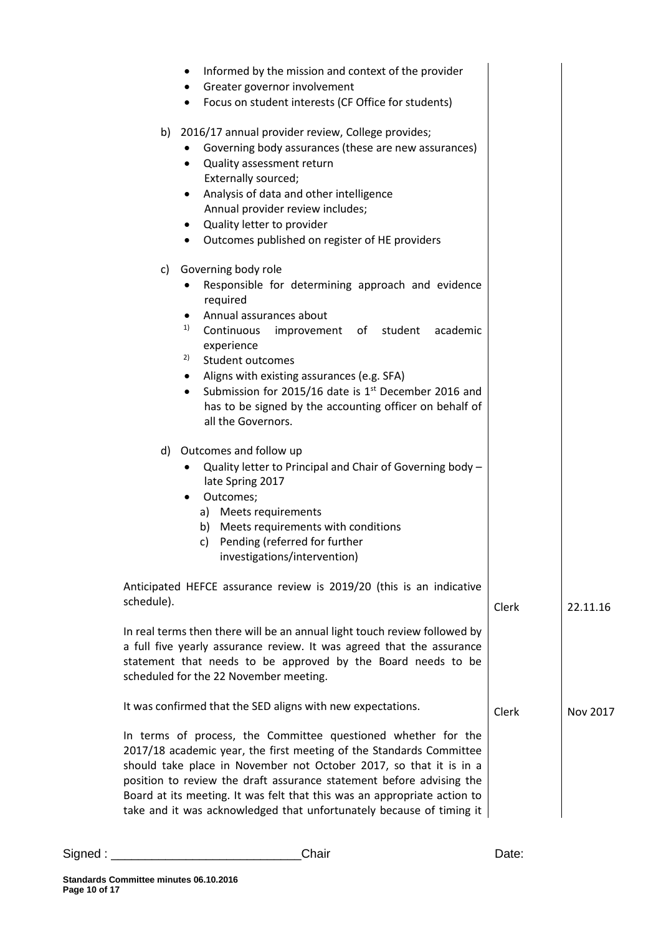|            | Informed by the mission and context of the provider<br>٠                                                                                                                                                                                                                                                                                                                                                                                                                                                                                   |       |          |
|------------|--------------------------------------------------------------------------------------------------------------------------------------------------------------------------------------------------------------------------------------------------------------------------------------------------------------------------------------------------------------------------------------------------------------------------------------------------------------------------------------------------------------------------------------------|-------|----------|
|            | Greater governor involvement<br>٠<br>Focus on student interests (CF Office for students)<br>٠                                                                                                                                                                                                                                                                                                                                                                                                                                              |       |          |
| b)         | 2016/17 annual provider review, College provides;<br>Governing body assurances (these are new assurances)<br>Quality assessment return<br>$\bullet$<br>Externally sourced;<br>Analysis of data and other intelligence<br>٠<br>Annual provider review includes;<br>Quality letter to provider<br>$\bullet$<br>Outcomes published on register of HE providers<br>٠                                                                                                                                                                           |       |          |
| c)         | Governing body role<br>Responsible for determining approach and evidence<br>required<br>Annual assurances about<br>٠<br>1)<br>Continuous<br>improvement of student<br>academic<br>experience<br>2)<br>Student outcomes<br>Aligns with existing assurances (e.g. SFA)<br>٠<br>Submission for 2015/16 date is 1 <sup>st</sup> December 2016 and<br>$\bullet$<br>has to be signed by the accounting officer on behalf of<br>all the Governors.<br>d) Outcomes and follow up<br>Quality letter to Principal and Chair of Governing body -<br>٠ |       |          |
|            | late Spring 2017<br>Outcomes;<br>٠<br>a) Meets requirements<br>b) Meets requirements with conditions<br>c) Pending (referred for further<br>investigations/intervention)                                                                                                                                                                                                                                                                                                                                                                   |       |          |
| schedule). | Anticipated HEFCE assurance review is 2019/20 (this is an indicative                                                                                                                                                                                                                                                                                                                                                                                                                                                                       |       |          |
|            | In real terms then there will be an annual light touch review followed by<br>a full five yearly assurance review. It was agreed that the assurance<br>statement that needs to be approved by the Board needs to be<br>scheduled for the 22 November meeting.                                                                                                                                                                                                                                                                               | Clerk | 22.11.16 |
|            | It was confirmed that the SED aligns with new expectations.                                                                                                                                                                                                                                                                                                                                                                                                                                                                                | Clerk | Nov 2017 |
|            | In terms of process, the Committee questioned whether for the<br>2017/18 academic year, the first meeting of the Standards Committee<br>should take place in November not October 2017, so that it is in a<br>position to review the draft assurance statement before advising the<br>Board at its meeting. It was felt that this was an appropriate action to<br>take and it was acknowledged that unfortunately because of timing it                                                                                                     |       |          |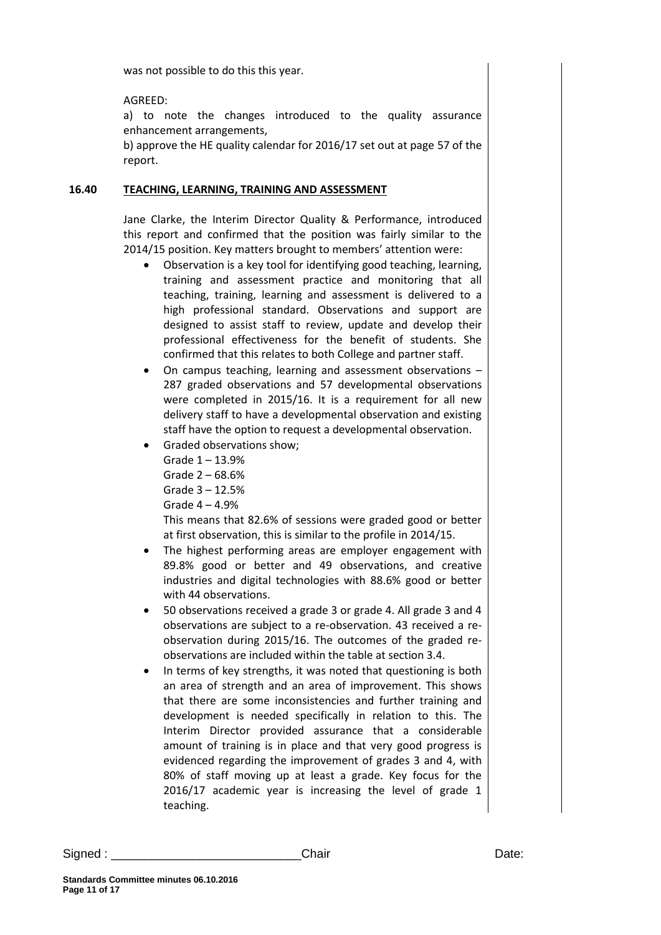was not possible to do this this year.

AGREED:

a) to note the changes introduced to the quality assurance enhancement arrangements,

b) approve the HE quality calendar for 2016/17 set out at page 57 of the report.

#### **16.40 TEACHING, LEARNING, TRAINING AND ASSESSMENT**

Jane Clarke, the Interim Director Quality & Performance, introduced this report and confirmed that the position was fairly similar to the 2014/15 position. Key matters brought to members' attention were:

- Observation is a key tool for identifying good teaching, learning, training and assessment practice and monitoring that all teaching, training, learning and assessment is delivered to a high professional standard. Observations and support are designed to assist staff to review, update and develop their professional effectiveness for the benefit of students. She confirmed that this relates to both College and partner staff.
- On campus teaching, learning and assessment observations 287 graded observations and 57 developmental observations were completed in 2015/16. It is a requirement for all new delivery staff to have a developmental observation and existing staff have the option to request a developmental observation.
- Graded observations show;
	- Grade 1 13.9%
	- Grade 2 68.6%
	- Grade 3 12.5%
	- Grade 4 4.9%

This means that 82.6% of sessions were graded good or better at first observation, this is similar to the profile in 2014/15.

- The highest performing areas are employer engagement with 89.8% good or better and 49 observations, and creative industries and digital technologies with 88.6% good or better with 44 observations.
- 50 observations received a grade 3 or grade 4. All grade 3 and 4 observations are subject to a re-observation. 43 received a reobservation during 2015/16. The outcomes of the graded reobservations are included within the table at section 3.4.
- In terms of key strengths, it was noted that questioning is both an area of strength and an area of improvement. This shows that there are some inconsistencies and further training and development is needed specifically in relation to this. The Interim Director provided assurance that a considerable amount of training is in place and that very good progress is evidenced regarding the improvement of grades 3 and 4, with 80% of staff moving up at least a grade. Key focus for the 2016/17 academic year is increasing the level of grade 1 teaching.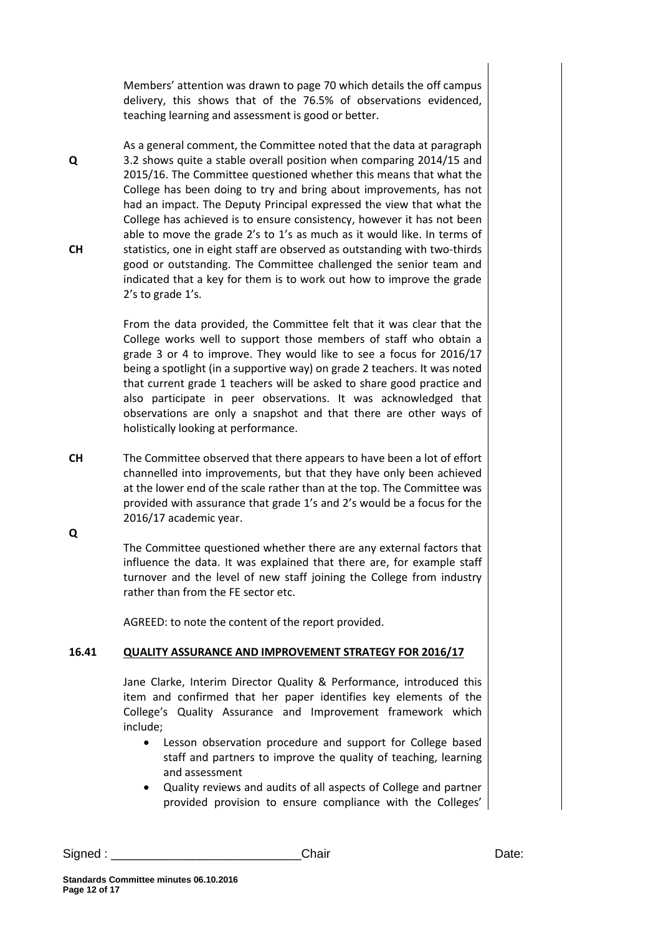Members' attention was drawn to page 70 which details the off campus delivery, this shows that of the 76.5% of observations evidenced, teaching learning and assessment is good or better.

**Q CH** As a general comment, the Committee noted that the data at paragraph 3.2 shows quite a stable overall position when comparing 2014/15 and 2015/16. The Committee questioned whether this means that what the College has been doing to try and bring about improvements, has not had an impact. The Deputy Principal expressed the view that what the College has achieved is to ensure consistency, however it has not been able to move the grade 2's to 1's as much as it would like. In terms of statistics, one in eight staff are observed as outstanding with two-thirds good or outstanding. The Committee challenged the senior team and indicated that a key for them is to work out how to improve the grade 2's to grade 1's.

> From the data provided, the Committee felt that it was clear that the College works well to support those members of staff who obtain a grade 3 or 4 to improve. They would like to see a focus for 2016/17 being a spotlight (in a supportive way) on grade 2 teachers. It was noted that current grade 1 teachers will be asked to share good practice and also participate in peer observations. It was acknowledged that observations are only a snapshot and that there are other ways of holistically looking at performance.

**CH** The Committee observed that there appears to have been a lot of effort channelled into improvements, but that they have only been achieved at the lower end of the scale rather than at the top. The Committee was provided with assurance that grade 1's and 2's would be a focus for the 2016/17 academic year.

**Q**

The Committee questioned whether there are any external factors that influence the data. It was explained that there are, for example staff turnover and the level of new staff joining the College from industry rather than from the FE sector etc.

AGREED: to note the content of the report provided.

# **16.41 QUALITY ASSURANCE AND IMPROVEMENT STRATEGY FOR 2016/17**

Jane Clarke, Interim Director Quality & Performance, introduced this item and confirmed that her paper identifies key elements of the College's Quality Assurance and Improvement framework which include;

- Lesson observation procedure and support for College based staff and partners to improve the quality of teaching, learning and assessment
- Quality reviews and audits of all aspects of College and partner provided provision to ensure compliance with the Colleges'

Signed : \_\_\_\_\_\_\_\_\_\_\_\_\_\_\_\_\_\_\_\_\_\_\_\_\_\_\_\_Chair Date: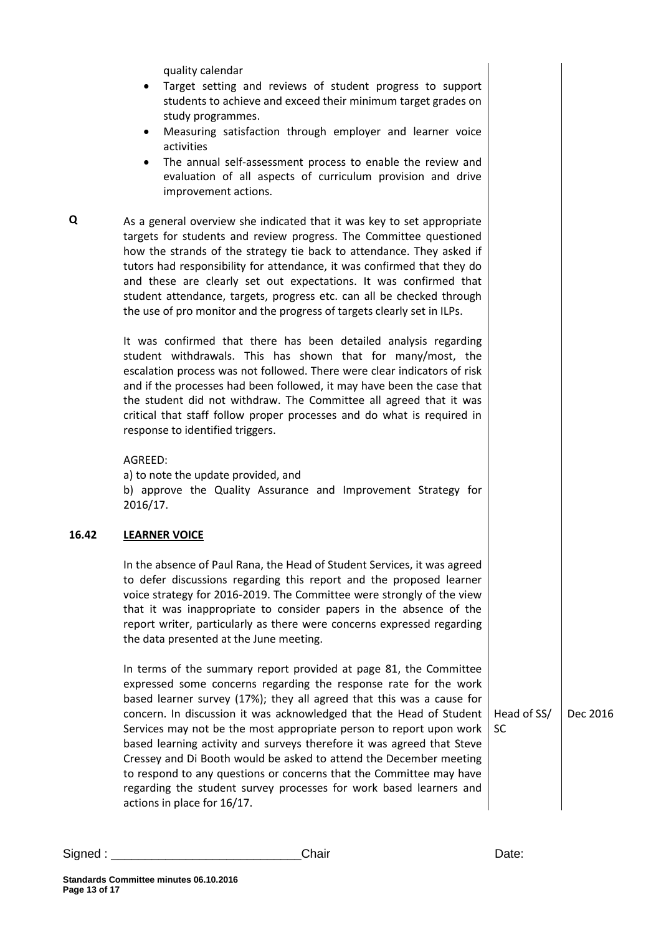quality calendar

- Target setting and reviews of student progress to support students to achieve and exceed their minimum target grades on study programmes.
- Measuring satisfaction through employer and learner voice activities
- The annual self-assessment process to enable the review and evaluation of all aspects of curriculum provision and drive improvement actions.
- **Q** As a general overview she indicated that it was key to set appropriate targets for students and review progress. The Committee questioned how the strands of the strategy tie back to attendance. They asked if tutors had responsibility for attendance, it was confirmed that they do and these are clearly set out expectations. It was confirmed that student attendance, targets, progress etc. can all be checked through the use of pro monitor and the progress of targets clearly set in ILPs.

It was confirmed that there has been detailed analysis regarding student withdrawals. This has shown that for many/most, the escalation process was not followed. There were clear indicators of risk and if the processes had been followed, it may have been the case that the student did not withdraw. The Committee all agreed that it was critical that staff follow proper processes and do what is required in response to identified triggers.

AGREED:

a) to note the update provided, and b) approve the Quality Assurance and Improvement Strategy for 2016/17.

# **16.42 LEARNER VOICE**

In the absence of Paul Rana, the Head of Student Services, it was agreed to defer discussions regarding this report and the proposed learner voice strategy for 2016-2019. The Committee were strongly of the view that it was inappropriate to consider papers in the absence of the report writer, particularly as there were concerns expressed regarding the data presented at the June meeting.

In terms of the summary report provided at page 81, the Committee expressed some concerns regarding the response rate for the work based learner survey (17%); they all agreed that this was a cause for concern. In discussion it was acknowledged that the Head of Student Services may not be the most appropriate person to report upon work based learning activity and surveys therefore it was agreed that Steve Cressey and Di Booth would be asked to attend the December meeting to respond to any questions or concerns that the Committee may have regarding the student survey processes for work based learners and actions in place for 16/17.

Head of SS/ Dec 2016

Signed : \_\_\_\_\_\_\_\_\_\_\_\_\_\_\_\_\_\_\_\_\_\_\_\_\_\_\_\_Chair Date:

SC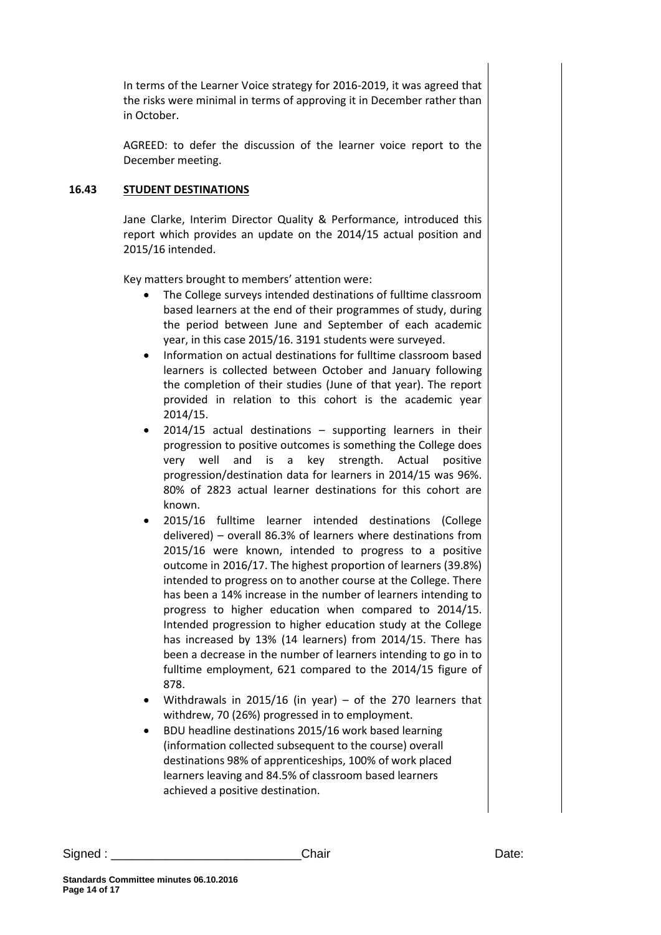In terms of the Learner Voice strategy for 2016-2019, it was agreed that the risks were minimal in terms of approving it in December rather than in October.

AGREED: to defer the discussion of the learner voice report to the December meeting.

## **16.43 STUDENT DESTINATIONS**

Jane Clarke, Interim Director Quality & Performance, introduced this report which provides an update on the 2014/15 actual position and 2015/16 intended.

Key matters brought to members' attention were:

- The College surveys intended destinations of fulltime classroom based learners at the end of their programmes of study, during the period between June and September of each academic year, in this case 2015/16. 3191 students were surveyed.
- Information on actual destinations for fulltime classroom based learners is collected between October and January following the completion of their studies (June of that year). The report provided in relation to this cohort is the academic year 2014/15.
- 2014/15 actual destinations supporting learners in their progression to positive outcomes is something the College does very well and is a key strength. Actual positive progression/destination data for learners in 2014/15 was 96%. 80% of 2823 actual learner destinations for this cohort are known.
- 2015/16 fulltime learner intended destinations (College delivered) – overall 86.3% of learners where destinations from 2015/16 were known, intended to progress to a positive outcome in 2016/17. The highest proportion of learners (39.8%) intended to progress on to another course at the College. There has been a 14% increase in the number of learners intending to progress to higher education when compared to 2014/15. Intended progression to higher education study at the College has increased by 13% (14 learners) from 2014/15. There has been a decrease in the number of learners intending to go in to fulltime employment, 621 compared to the 2014/15 figure of 878.
- Withdrawals in 2015/16 (in year) of the 270 learners that withdrew, 70 (26%) progressed in to employment.
- BDU headline destinations 2015/16 work based learning (information collected subsequent to the course) overall destinations 98% of apprenticeships, 100% of work placed learners leaving and 84.5% of classroom based learners achieved a positive destination.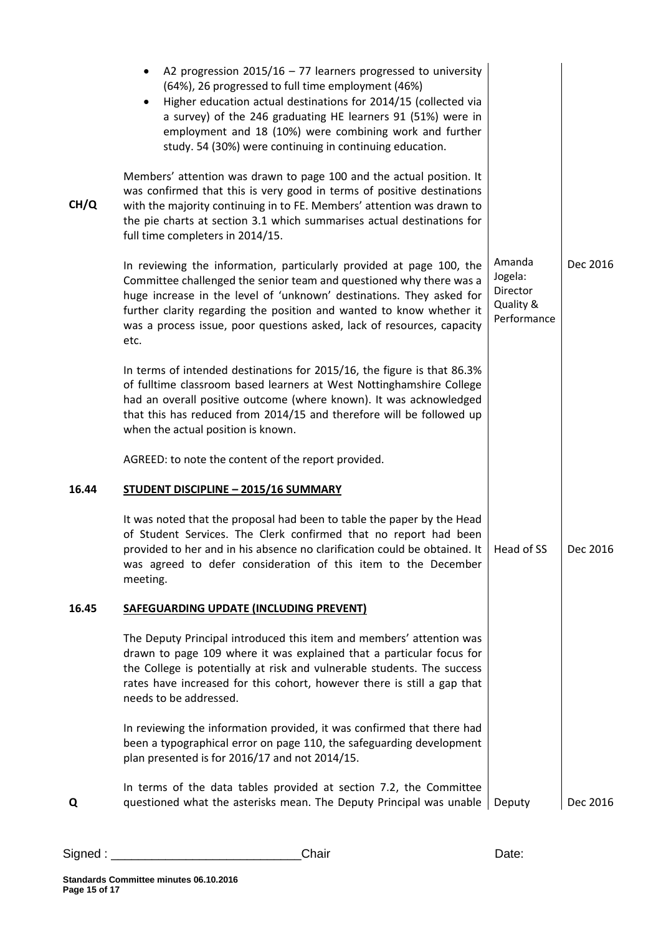|       | A2 progression $2015/16 - 77$ learners progressed to university<br>٠<br>(64%), 26 progressed to full time employment (46%)<br>Higher education actual destinations for 2014/15 (collected via<br>a survey) of the 246 graduating HE learners 91 (51%) were in<br>employment and 18 (10%) were combining work and further<br>study. 54 (30%) were continuing in continuing education. |                                                           |          |
|-------|--------------------------------------------------------------------------------------------------------------------------------------------------------------------------------------------------------------------------------------------------------------------------------------------------------------------------------------------------------------------------------------|-----------------------------------------------------------|----------|
| CH/Q  | Members' attention was drawn to page 100 and the actual position. It<br>was confirmed that this is very good in terms of positive destinations<br>with the majority continuing in to FE. Members' attention was drawn to<br>the pie charts at section 3.1 which summarises actual destinations for<br>full time completers in 2014/15.                                               |                                                           |          |
|       | In reviewing the information, particularly provided at page 100, the<br>Committee challenged the senior team and questioned why there was a<br>huge increase in the level of 'unknown' destinations. They asked for<br>further clarity regarding the position and wanted to know whether it<br>was a process issue, poor questions asked, lack of resources, capacity<br>etc.        | Amanda<br>Jogela:<br>Director<br>Quality &<br>Performance | Dec 2016 |
|       | In terms of intended destinations for 2015/16, the figure is that 86.3%<br>of fulltime classroom based learners at West Nottinghamshire College<br>had an overall positive outcome (where known). It was acknowledged<br>that this has reduced from 2014/15 and therefore will be followed up<br>when the actual position is known.                                                  |                                                           |          |
|       | AGREED: to note the content of the report provided.                                                                                                                                                                                                                                                                                                                                  |                                                           |          |
| 16.44 | <b>STUDENT DISCIPLINE - 2015/16 SUMMARY</b>                                                                                                                                                                                                                                                                                                                                          |                                                           |          |
|       | It was noted that the proposal had been to table the paper by the Head<br>of Student Services. The Clerk confirmed that no report had been<br>provided to her and in his absence no clarification could be obtained. It   Head of SS<br>was agreed to defer consideration of this item to the December<br>meeting.                                                                   |                                                           | Dec 2016 |
| 16.45 | <b>SAFEGUARDING UPDATE (INCLUDING PREVENT)</b>                                                                                                                                                                                                                                                                                                                                       |                                                           |          |
|       | The Deputy Principal introduced this item and members' attention was<br>drawn to page 109 where it was explained that a particular focus for<br>the College is potentially at risk and vulnerable students. The success<br>rates have increased for this cohort, however there is still a gap that<br>needs to be addressed.                                                         |                                                           |          |
|       | In reviewing the information provided, it was confirmed that there had<br>been a typographical error on page 110, the safeguarding development<br>plan presented is for 2016/17 and not 2014/15.                                                                                                                                                                                     |                                                           |          |
| Q     | In terms of the data tables provided at section 7.2, the Committee<br>questioned what the asterisks mean. The Deputy Principal was unable                                                                                                                                                                                                                                            | Deputy                                                    | Dec 2016 |
|       |                                                                                                                                                                                                                                                                                                                                                                                      |                                                           |          |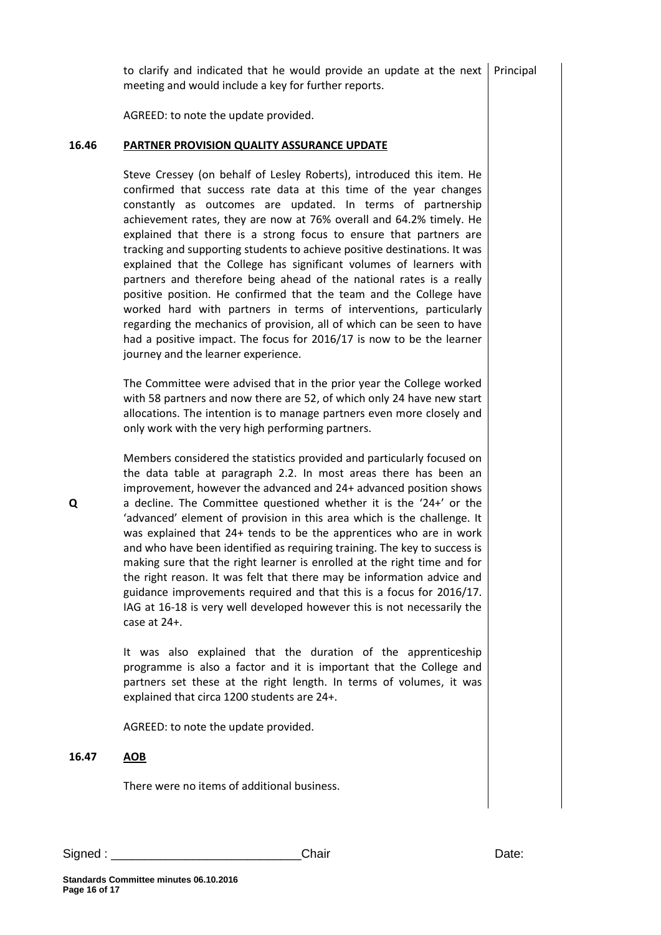to clarify and indicated that he would provide an update at the next meeting and would include a key for further reports. Principal

AGREED: to note the update provided.

#### **16.46 PARTNER PROVISION QUALITY ASSURANCE UPDATE**

Steve Cressey (on behalf of Lesley Roberts), introduced this item. He confirmed that success rate data at this time of the year changes constantly as outcomes are updated. In terms of partnership achievement rates, they are now at 76% overall and 64.2% timely. He explained that there is a strong focus to ensure that partners are tracking and supporting students to achieve positive destinations. It was explained that the College has significant volumes of learners with partners and therefore being ahead of the national rates is a really positive position. He confirmed that the team and the College have worked hard with partners in terms of interventions, particularly regarding the mechanics of provision, all of which can be seen to have had a positive impact. The focus for 2016/17 is now to be the learner journey and the learner experience.

The Committee were advised that in the prior year the College worked with 58 partners and now there are 52, of which only 24 have new start allocations. The intention is to manage partners even more closely and only work with the very high performing partners.

Members considered the statistics provided and particularly focused on the data table at paragraph 2.2. In most areas there has been an improvement, however the advanced and 24+ advanced position shows a decline. The Committee questioned whether it is the '24+' or the 'advanced' element of provision in this area which is the challenge. It was explained that 24+ tends to be the apprentices who are in work and who have been identified as requiring training. The key to success is making sure that the right learner is enrolled at the right time and for the right reason. It was felt that there may be information advice and guidance improvements required and that this is a focus for 2016/17. IAG at 16-18 is very well developed however this is not necessarily the case at 24+.

It was also explained that the duration of the apprenticeship programme is also a factor and it is important that the College and partners set these at the right length. In terms of volumes, it was explained that circa 1200 students are 24+.

AGREED: to note the update provided.

#### **16.47 AOB**

There were no items of additional business.

| Signed | <sup>า</sup> hair | Date. |
|--------|-------------------|-------|
|        |                   |       |

**Q**